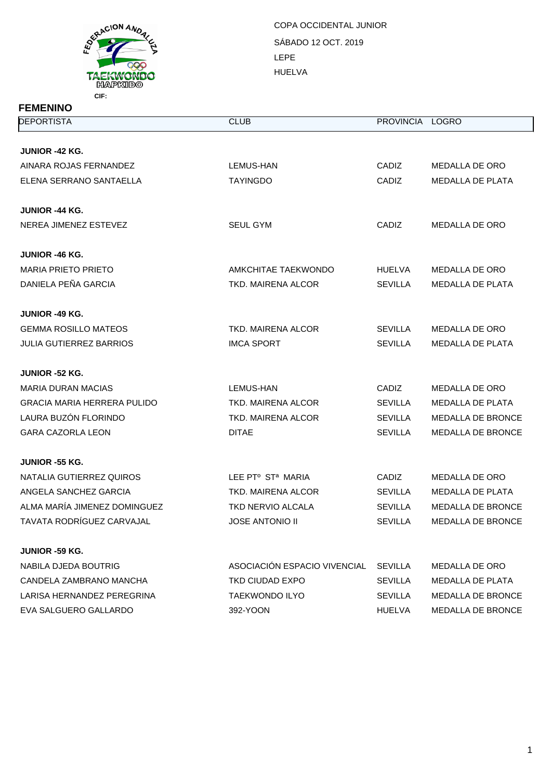

SÁBADO 12 OCT. 2019 LEPE HUELVA COPA OCCIDENTAL JUNIOR

| <b>DEPORTISTA</b>                  | <b>CLUB</b>                   | <b>PROVINCIA</b> | <b>LOGRO</b>             |
|------------------------------------|-------------------------------|------------------|--------------------------|
| <b>JUNIOR -42 KG.</b>              |                               |                  |                          |
| AINARA ROJAS FERNANDEZ             | LEMUS-HAN                     | CADIZ            | MEDALLA DE ORO           |
| ELENA SERRANO SANTAELLA            | <b>TAYINGDO</b>               | CADIZ            | <b>MEDALLA DE PLATA</b>  |
|                                    |                               |                  |                          |
| <b>JUNIOR -44 KG.</b>              |                               |                  |                          |
| NEREA JIMENEZ ESTEVEZ              | <b>SEUL GYM</b>               | CADIZ            | <b>MEDALLA DE ORO</b>    |
| <b>JUNIOR -46 KG.</b>              |                               |                  |                          |
| <b>MARIA PRIETO PRIETO</b>         | AMKCHITAE TAEKWONDO           | <b>HUELVA</b>    | MEDALLA DE ORO           |
| DANIELA PEÑA GARCIA                | TKD. MAIRENA ALCOR            | <b>SEVILLA</b>   | <b>MEDALLA DE PLATA</b>  |
| <b>JUNIOR -49 KG.</b>              |                               |                  |                          |
| <b>GEMMA ROSILLO MATEOS</b>        | TKD. MAIRENA ALCOR            | <b>SEVILLA</b>   | <b>MEDALLA DE ORO</b>    |
| <b>JULIA GUTIERREZ BARRIOS</b>     | <b>IMCA SPORT</b>             | <b>SEVILLA</b>   | <b>MEDALLA DE PLATA</b>  |
| JUNIOR -52 KG.                     |                               |                  |                          |
| MARIA DURAN MACIAS                 | LEMUS-HAN                     | <b>CADIZ</b>     | MEDALLA DE ORO           |
| <b>GRACIA MARIA HERRERA PULIDO</b> | TKD. MAIRENA ALCOR            | <b>SEVILLA</b>   | <b>MEDALLA DE PLATA</b>  |
| LAURA BUZÓN FLORINDO               | TKD. MAIRENA ALCOR            | <b>SEVILLA</b>   | <b>MEDALLA DE BRONCE</b> |
| <b>GARA CAZORLA LEON</b>           | <b>DITAE</b>                  | <b>SEVILLA</b>   | <b>MEDALLA DE BRONCE</b> |
| <b>JUNIOR -55 KG.</b>              |                               |                  |                          |
| NATALIA GUTIERREZ QUIROS           | LEE PTº ST <sup>a</sup> MARIA | <b>CADIZ</b>     | MEDALLA DE ORO           |
| ANGELA SANCHEZ GARCIA              | TKD. MAIRENA ALCOR            | <b>SEVILLA</b>   | <b>MEDALLA DE PLATA</b>  |
| ALMA MARÍA JIMENEZ DOMINGUEZ       | <b>TKD NERVIO ALCALA</b>      | <b>SEVILLA</b>   | <b>MEDALLA DE BRONCE</b> |
| TAVATA RODRÍGUEZ CARVAJAL          | <b>JOSE ANTONIO II</b>        | <b>SEVILLA</b>   | <b>MEDALLA DE BRONCE</b> |
| <b>JUNIOR -59 KG.</b>              |                               |                  |                          |
| NABILA DJEDA BOUTRIG               | ASOCIACIÓN ESPACIO VIVENCIAL  | <b>SEVILLA</b>   | MEDALLA DE ORO           |
| CANDELA ZAMBRANO MANCHA            | TKD CIUDAD EXPO               | <b>SEVILLA</b>   | <b>MEDALLA DE PLATA</b>  |
| LARISA HERNANDEZ PEREGRINA         | TAEKWONDO ILYO                | <b>SEVILLA</b>   | <b>MEDALLA DE BRONCE</b> |
| EVA SALGUERO GALLARDO              | 392-YOON                      | <b>HUELVA</b>    | <b>MEDALLA DE BRONCE</b> |
|                                    |                               |                  |                          |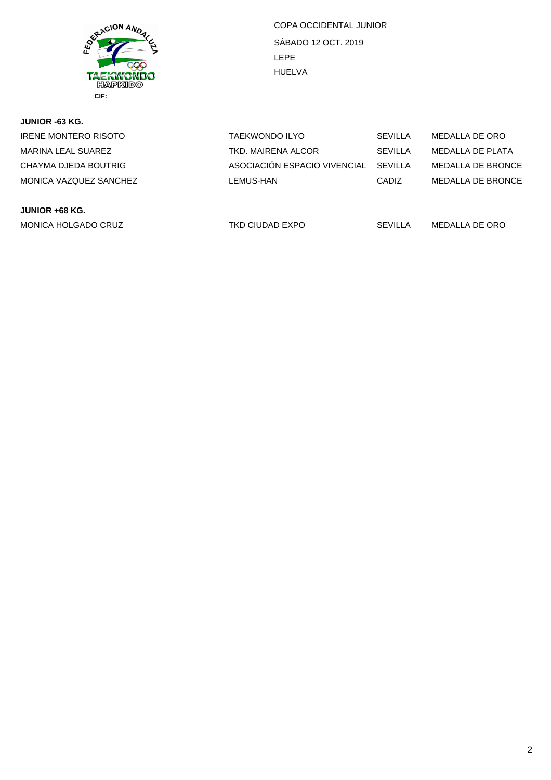

SÁBADO 12 OCT. 2019 LEPE HUELVA COPA OCCIDENTAL JUNIOR

| JUNIOR -63 KG.         |                              |                |                          |
|------------------------|------------------------------|----------------|--------------------------|
| IRENE MONTERO RISOTO   | <b>TAEKWONDO ILYO</b>        | <b>SEVILLA</b> | MEDALLA DE ORO           |
| MARINA LEAL SUAREZ     | TKD. MAIRENA ALCOR           | <b>SEVILLA</b> | MEDALLA DE PLATA         |
| CHAYMA DJEDA BOUTRIG   | ASOCIACIÓN ESPACIO VIVENCIAL | SEVILLA        | MEDALLA DE BRONCE        |
| MONICA VAZQUEZ SANCHEZ | LEMUS-HAN                    | <b>CADIZ</b>   | <b>MEDALLA DE BRONCE</b> |
|                        |                              |                |                          |
|                        |                              |                |                          |

**JUNIOR +68 KG.** MONICA HOLGADO CRUZ 
TKD CIUDAD EXPO

TKD CIUDAD EXPO

TKD CIUDAD EXPO

SEVILLA

MEDALLA
DE ORO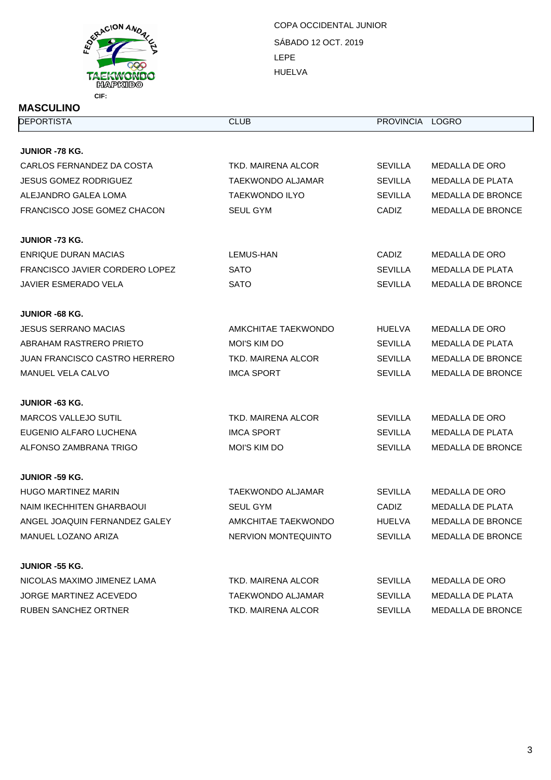

SÁBADO 12 OCT. 2019 LEPE HUELVA COPA OCCIDENTAL JUNIOR

| <b>DEPORTISTA</b>                  | <b>CLUB</b>                | PROVINCIA LOGRO |                          |
|------------------------------------|----------------------------|-----------------|--------------------------|
|                                    |                            |                 |                          |
| <b>JUNIOR -78 KG.</b>              |                            |                 |                          |
| CARLOS FERNANDEZ DA COSTA          | TKD. MAIRENA ALCOR         | <b>SEVILLA</b>  | MEDALLA DE ORO           |
| <b>JESUS GOMEZ RODRIGUEZ</b>       | <b>TAEKWONDO ALJAMAR</b>   | <b>SEVILLA</b>  | <b>MEDALLA DE PLATA</b>  |
| ALEJANDRO GALEA LOMA               | <b>TAEKWONDO ILYO</b>      | <b>SEVILLA</b>  | <b>MEDALLA DE BRONCE</b> |
| <b>FRANCISCO JOSE GOMEZ CHACON</b> | <b>SEUL GYM</b>            | <b>CADIZ</b>    | <b>MEDALLA DE BRONCE</b> |
| <b>JUNIOR -73 KG.</b>              |                            |                 |                          |
| ENRIQUE DURAN MACIAS               | LEMUS-HAN                  | <b>CADIZ</b>    | MEDALLA DE ORO           |
| FRANCISCO JAVIER CORDERO LOPEZ     | <b>SATO</b>                | <b>SEVILLA</b>  | MEDALLA DE PLATA         |
| <b>JAVIER ESMERADO VELA</b>        | <b>SATO</b>                | <b>SEVILLA</b>  | <b>MEDALLA DE BRONCE</b> |
| <b>JUNIOR -68 KG.</b>              |                            |                 |                          |
| <b>JESUS SERRANO MACIAS</b>        | AMKCHITAE TAEKWONDO        | <b>HUELVA</b>   | <b>MEDALLA DE ORO</b>    |
| ABRAHAM RASTRERO PRIETO            | <b>MOI'S KIM DO</b>        | <b>SEVILLA</b>  | <b>MEDALLA DE PLATA</b>  |
| JUAN FRANCISCO CASTRO HERRERO      | TKD, MAIRENA ALCOR         | <b>SEVILLA</b>  | <b>MEDALLA DE BRONCE</b> |
| MANUEL VELA CALVO                  | <b>IMCA SPORT</b>          | <b>SEVILLA</b>  | <b>MEDALLA DE BRONCE</b> |
| <b>JUNIOR -63 KG.</b>              |                            |                 |                          |
| <b>MARCOS VALLEJO SUTIL</b>        | <b>TKD. MAIRENA ALCOR</b>  | <b>SEVILLA</b>  | MEDALLA DE ORO           |
| EUGENIO ALFARO LUCHENA             | <b>IMCA SPORT</b>          | <b>SEVILLA</b>  | MEDALLA DE PLATA         |
| ALFONSO ZAMBRANA TRIGO             | <b>MOI'S KIM DO</b>        | <b>SEVILLA</b>  | <b>MEDALLA DE BRONCE</b> |
| <b>JUNIOR -59 KG.</b>              |                            |                 |                          |
| <b>HUGO MARTINEZ MARIN</b>         | <b>TAEKWONDO ALJAMAR</b>   | <b>SEVILLA</b>  | MEDALLA DE ORO           |
| NAIM IKECHHITEN GHARBAOUI          | SEUL GYM                   | CADIZ           | <b>MEDALLA DE PLATA</b>  |
| ANGEL JOAQUIN FERNANDEZ GALEY      | <b>AMKCHITAE TAEKWONDO</b> | <b>HUELVA</b>   | <b>MEDALLA DE BRONCE</b> |
| MANUEL LOZANO ARIZA                | <b>NERVION MONTEQUINTO</b> | <b>SEVILLA</b>  | <b>MEDALLA DE BRONCE</b> |
| <b>JUNIOR -55 KG.</b>              |                            |                 |                          |
| NICOLAS MAXIMO JIMENEZ LAMA        | TKD. MAIRENA ALCOR         | <b>SEVILLA</b>  | MEDALLA DE ORO           |
| <b>JORGE MARTINEZ ACEVEDO</b>      | TAEKWONDO ALJAMAR          | <b>SEVILLA</b>  | MEDALLA DE PLATA         |
| RUBEN SANCHEZ ORTNER               | TKD. MAIRENA ALCOR         | <b>SEVILLA</b>  | MEDALLA DE BRONCE        |